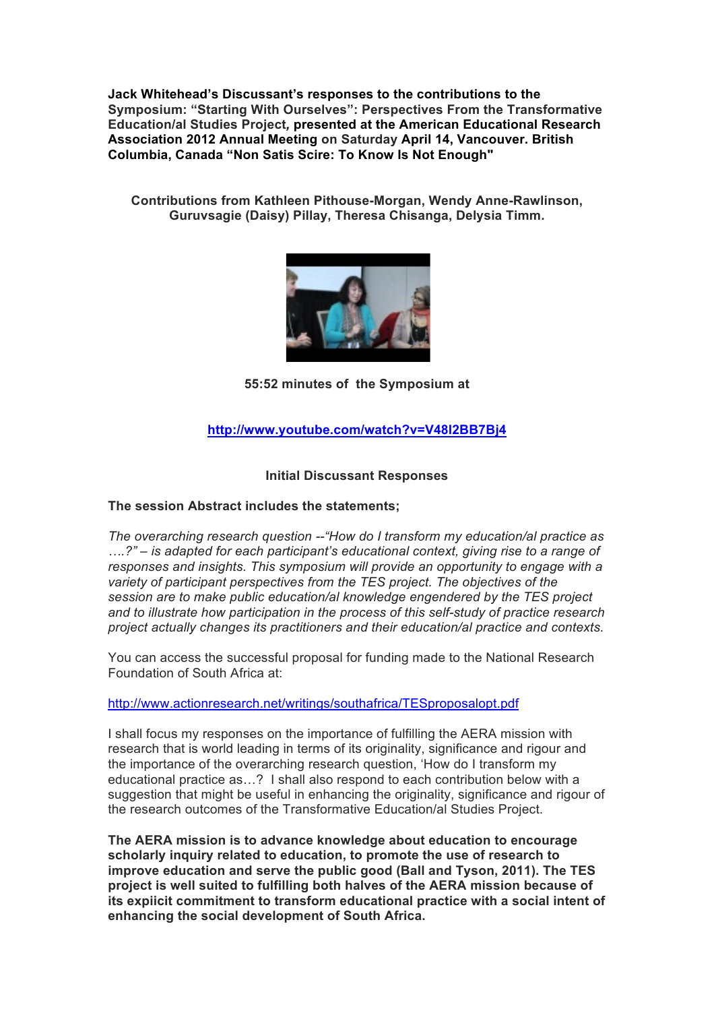**Jack Whitehead's Discussant's responses to the contributions to the Symposium: "Starting With Ourselves": Perspectives From the Transformative Education/al Studies Project***,* **presented at the American Educational Research Association 2012 Annual Meeting on Saturday April 14, Vancouver. British Columbia, Canada "Non Satis Scire: To Know Is Not Enough"**

**Contributions from Kathleen Pithouse-Morgan, Wendy Anne-Rawlinson, Guruvsagie (Daisy) Pillay, Theresa Chisanga, Delysia Timm.**



**55:52 minutes of the Symposium at**

## **http://www.youtube.com/watch?v=V48l2BB7Bj4**

## **Initial Discussant Responses**

## **The session Abstract includes the statements;**

*The overarching research question --"How do I transform my education/al practice as ….?" – is adapted for each participant's educational context, giving rise to a range of responses and insights. This symposium will provide an opportunity to engage with a variety of participant perspectives from the TES project. The objectives of the session are to make public education/al knowledge engendered by the TES project and to illustrate how participation in the process of this self-study of practice research project actually changes its practitioners and their education/al practice and contexts.*

You can access the successful proposal for funding made to the National Research Foundation of South Africa at:

http://www.actionresearch.net/writings/southafrica/TESproposalopt.pdf

I shall focus my responses on the importance of fulfilling the AERA mission with research that is world leading in terms of its originality, significance and rigour and the importance of the overarching research question, 'How do I transform my educational practice as…? I shall also respond to each contribution below with a suggestion that might be useful in enhancing the originality, significance and rigour of the research outcomes of the Transformative Education/al Studies Project.

**The AERA mission is to advance knowledge about education to encourage scholarly inquiry related to education, to promote the use of research to improve education and serve the public good (Ball and Tyson, 2011). The TES project is well suited to fulfilling both halves of the AERA mission because of its expiicit commitment to transform educational practice with a social intent of enhancing the social development of South Africa.**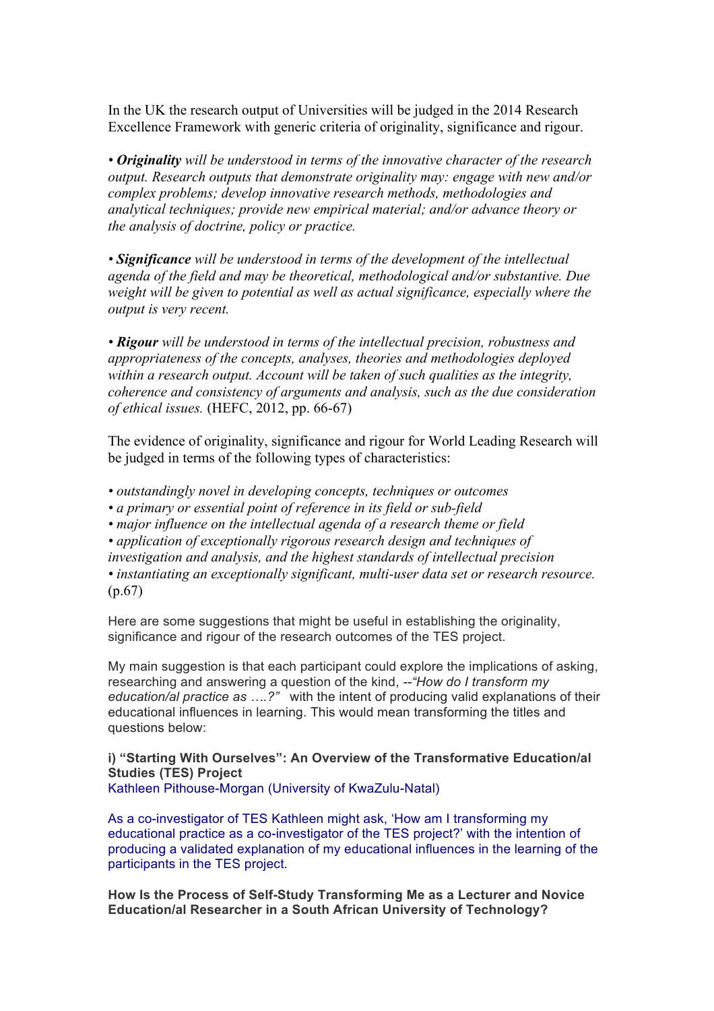In the UK the research output of Universities will be judged in the 2014 Research Excellence Framework with generic criteria of originality, significance and rigour.

*• Originality will be understood in terms of the innovative character of the research output. Research outputs that demonstrate originality may: engage with new and/or complex problems; develop innovative research methods, methodologies and analytical techniques; provide new empirical material; and/or advance theory or the analysis of doctrine, policy or practice.* 

*• Significance will be understood in terms of the development of the intellectual agenda of the field and may be theoretical, methodological and/or substantive. Due weight will be given to potential as well as actual significance, especially where the output is very recent.*

*• Rigour will be understood in terms of the intellectual precision, robustness and appropriateness of the concepts, analyses, theories and methodologies deployed within a research output. Account will be taken of such qualities as the integrity, coherence and consistency of arguments and analysis, such as the due consideration of ethical issues.* (HEFC, 2012, pp. 66-67)

The evidence of originality, significance and rigour for World Leading Research will be judged in terms of the following types of characteristics:

*• outstandingly novel in developing concepts, techniques or outcomes*

*• a primary or essential point of reference in its field or sub-field*

*• major influence on the intellectual agenda of a research theme or field*

*• application of exceptionally rigorous research design and techniques of* 

*investigation and analysis, and the highest standards of intellectual precision • instantiating an exceptionally significant, multi-user data set or research resource.* (p.67)

Here are some suggestions that might be useful in establishing the originality, significance and rigour of the research outcomes of the TES project.

My main suggestion is that each participant could explore the implications of asking, researching and answering a question of the kind, *--"How do I transform my education/al practice as ….?"* with the intent of producing valid explanations of their educational influences in learning. This would mean transforming the titles and questions below:

**i) "Starting With Ourselves": An Overview of the Transformative Education/al Studies (TES) Project** Kathleen Pithouse-Morgan (University of KwaZulu-Natal)

As a co-investigator of TES Kathleen might ask, 'How am I transforming my educational practice as a co-investigator of the TES project?' with the intention of producing a validated explanation of my educational influences in the learning of the participants in the TES project.

**How Is the Process of Self-Study Transforming Me as a Lecturer and Novice Education/al Researcher in a South African University of Technology?**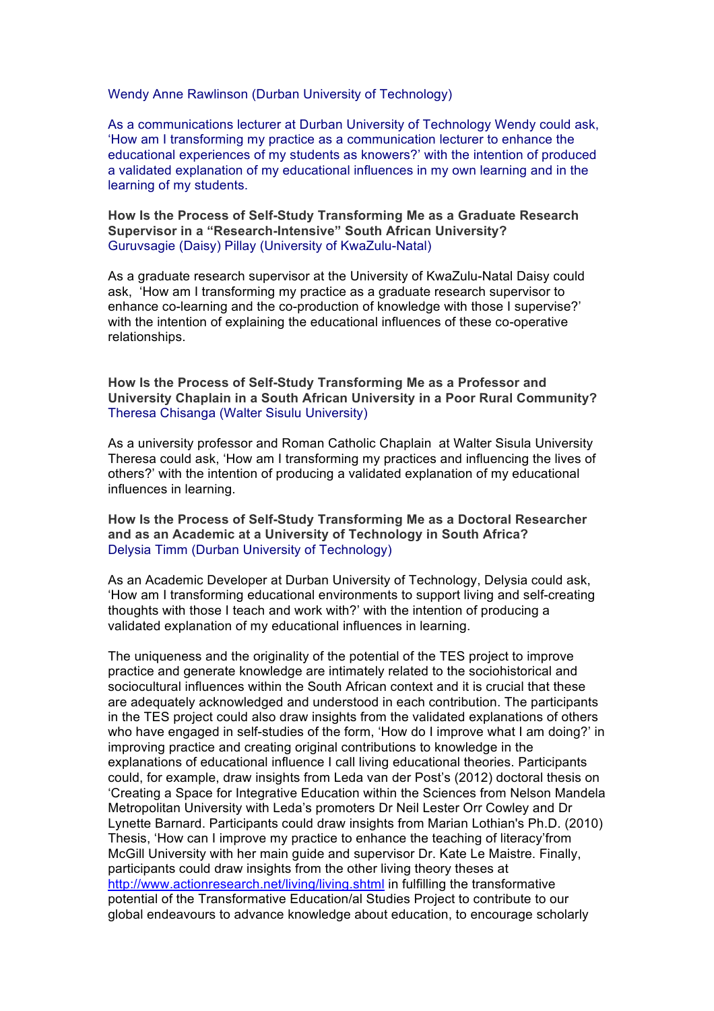Wendy Anne Rawlinson (Durban University of Technology)

As a communications lecturer at Durban University of Technology Wendy could ask, 'How am I transforming my practice as a communication lecturer to enhance the educational experiences of my students as knowers?' with the intention of produced a validated explanation of my educational influences in my own learning and in the learning of my students.

**How Is the Process of Self-Study Transforming Me as a Graduate Research Supervisor in a "Research-Intensive" South African University?** Guruvsagie (Daisy) Pillay (University of KwaZulu-Natal)

As a graduate research supervisor at the University of KwaZulu-Natal Daisy could ask, 'How am I transforming my practice as a graduate research supervisor to enhance co-learning and the co-production of knowledge with those I supervise?' with the intention of explaining the educational influences of these co-operative relationships.

**How Is the Process of Self-Study Transforming Me as a Professor and University Chaplain in a South African University in a Poor Rural Community?** Theresa Chisanga (Walter Sisulu University)

As a university professor and Roman Catholic Chaplain at Walter Sisula University Theresa could ask, 'How am I transforming my practices and influencing the lives of others?' with the intention of producing a validated explanation of my educational influences in learning.

**How Is the Process of Self-Study Transforming Me as a Doctoral Researcher and as an Academic at a University of Technology in South Africa?** Delysia Timm (Durban University of Technology)

As an Academic Developer at Durban University of Technology, Delysia could ask, 'How am I transforming educational environments to support living and self-creating thoughts with those I teach and work with?' with the intention of producing a validated explanation of my educational influences in learning.

The uniqueness and the originality of the potential of the TES project to improve practice and generate knowledge are intimately related to the sociohistorical and sociocultural influences within the South African context and it is crucial that these are adequately acknowledged and understood in each contribution. The participants in the TES project could also draw insights from the validated explanations of others who have engaged in self-studies of the form, 'How do I improve what I am doing?' in improving practice and creating original contributions to knowledge in the explanations of educational influence I call living educational theories. Participants could, for example, draw insights from Leda van der Post's (2012) doctoral thesis on 'Creating a Space for Integrative Education within the Sciences from Nelson Mandela Metropolitan University with Leda's promoters Dr Neil Lester Orr Cowley and Dr Lynette Barnard. Participants could draw insights from Marian Lothian's Ph.D. (2010) Thesis, 'How can I improve my practice to enhance the teaching of literacy'from McGill University with her main guide and supervisor Dr. Kate Le Maistre. Finally, participants could draw insights from the other living theory theses at http://www.actionresearch.net/living/living.shtml in fulfilling the transformative potential of the Transformative Education/al Studies Project to contribute to our global endeavours to advance knowledge about education, to encourage scholarly